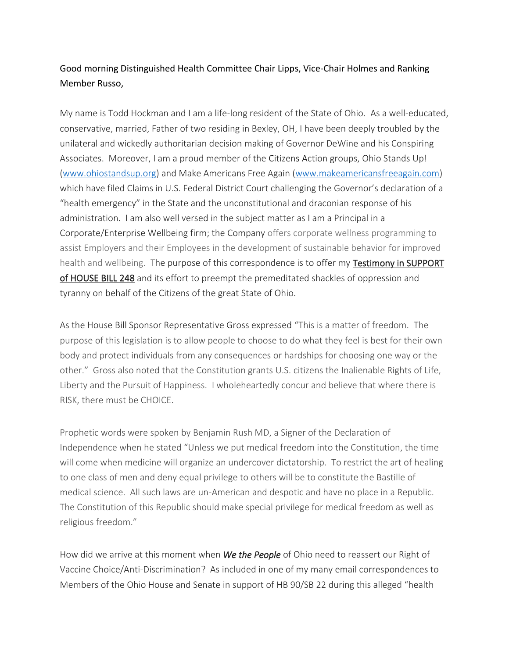## Good morning Distinguished Health Committee Chair Lipps, Vice-Chair Holmes and Ranking Member Russo,

My name is Todd Hockman and I am a life-long resident of the State of Ohio. As a well-educated, conservative, married, Father of two residing in Bexley, OH, I have been deeply troubled by the unilateral and wickedly authoritarian decision making of Governor DeWine and his Conspiring Associates. Moreover, I am a proud member of the Citizens Action groups, Ohio Stands Up! [\(www.ohiostandsup.org\)](http://www.ohiostandsup.org/) and Make Americans Free Again [\(www.makeamericansfreeagain.com\)](http://www.makeamericansfreeagain.com/) which have filed Claims in U.S. Federal District Court challenging the Governor's declaration of a "health emergency" in the State and the unconstitutional and draconian response of his administration. I am also well versed in the subject matter as I am a Principal in a Corporate/Enterprise Wellbeing firm; the Company offers corporate wellness programming to assist Employers and their Employees in the development of sustainable behavior for improved health and wellbeing. The purpose of this correspondence is to offer my Testimony in SUPPORT of HOUSE BILL 248 and its effort to preempt the premeditated shackles of oppression and tyranny on behalf of the Citizens of the great State of Ohio.

As the House Bill Sponsor Representative Gross expressed "This is a matter of freedom. The purpose of this legislation is to allow people to choose to do what they feel is best for their own body and protect individuals from any consequences or hardships for choosing one way or the other." Gross also noted that the Constitution grants U.S. citizens the Inalienable Rights of Life, Liberty and the Pursuit of Happiness. I wholeheartedly concur and believe that where there is RISK, there must be CHOICE.

Prophetic words were spoken by Benjamin Rush MD, a Signer of the Declaration of Independence when he stated "Unless we put medical freedom into the Constitution, the time will come when medicine will organize an undercover dictatorship. To restrict the art of healing to one class of men and deny equal privilege to others will be to constitute the Bastille of medical science. All such laws are un-American and despotic and have no place in a Republic. The Constitution of this Republic should make special privilege for medical freedom as well as religious freedom."

How did we arrive at this moment when *We the People* of Ohio need to reassert our Right of Vaccine Choice/Anti-Discrimination? As included in one of my many email correspondences to Members of the Ohio House and Senate in support of HB 90/SB 22 during this alleged "health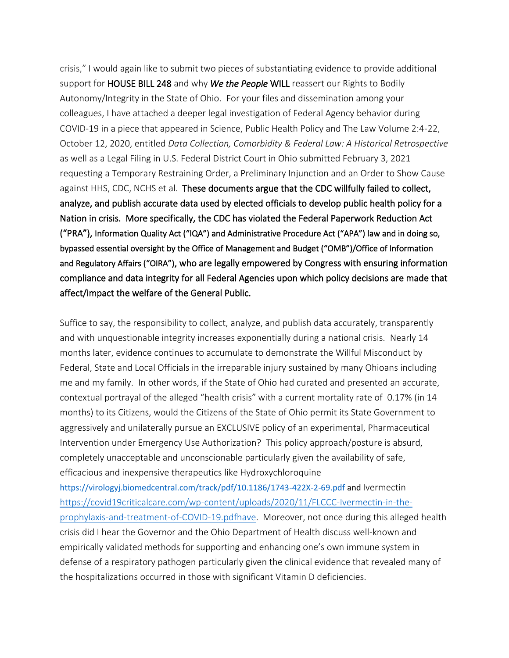crisis," I would again like to submit two pieces of substantiating evidence to provide additional support for HOUSE BILL 248 and why *We the People* WILL reassert our Rights to Bodily Autonomy/Integrity in the State of Ohio. For your files and dissemination among your colleagues, I have attached a deeper legal investigation of Federal Agency behavior during COVID-19 in a piece that appeared in Science, Public Health Policy and The Law Volume 2:4-22, October 12, 2020, entitled *Data Collection, Comorbidity & Federal Law: A Historical Retrospective*  as well as a Legal Filing in U.S. Federal District Court in Ohio submitted February 3, 2021 requesting a Temporary Restraining Order, a Preliminary Injunction and an Order to Show Cause against HHS, CDC, NCHS et al. These documents argue that the CDC willfully failed to collect, analyze, and publish accurate data used by elected officials to develop public health policy for a Nation in crisis. More specifically, the CDC has violated the Federal Paperwork Reduction Act ("PRA"), Information Quality Act ("IQA") and Administrative Procedure Act ("APA") law and in doing so, bypassed essential oversight by the Office of Management and Budget ("OMB")/Office of Information and Regulatory Affairs ("OIRA"), who are legally empowered by Congress with ensuring information compliance and data integrity for all Federal Agencies upon which policy decisions are made that affect/impact the welfare of the General Public.

Suffice to say, the responsibility to collect, analyze, and publish data accurately, transparently and with unquestionable integrity increases exponentially during a national crisis. Nearly 14 months later, evidence continues to accumulate to demonstrate the Willful Misconduct by Federal, State and Local Officials in the irreparable injury sustained by many Ohioans including me and my family. In other words, if the State of Ohio had curated and presented an accurate, contextual portrayal of the alleged "health crisis" with a current mortality rate of 0.17% (in 14 months) to its Citizens, would the Citizens of the State of Ohio permit its State Government to aggressively and unilaterally pursue an EXCLUSIVE policy of an experimental, Pharmaceutical Intervention under Emergency Use Authorization? This policy approach/posture is absurd, completely unacceptable and unconscionable particularly given the availability of safe, efficacious and inexpensive therapeutics like Hydroxychloroquine

<https://virologyj.biomedcentral.com/track/pdf/10.1186/1743-422X-2-69.pdf> and Ivermectin [https://covid19criticalcare.com/wp-content/uploads/2020/11/FLCCC-Ivermectin-in-the](https://covid19criticalcare.com/wp-content/uploads/2020/11/FLCCC-Ivermectin-in-the-prophylaxis-and-treatment-of-COVID-19.pdfhave)[prophylaxis-and-treatment-of-COVID-19.pdfhave.](https://covid19criticalcare.com/wp-content/uploads/2020/11/FLCCC-Ivermectin-in-the-prophylaxis-and-treatment-of-COVID-19.pdfhave) Moreover, not once during this alleged health crisis did I hear the Governor and the Ohio Department of Health discuss well-known and empirically validated methods for supporting and enhancing one's own immune system in defense of a respiratory pathogen particularly given the clinical evidence that revealed many of the hospitalizations occurred in those with significant Vitamin D deficiencies.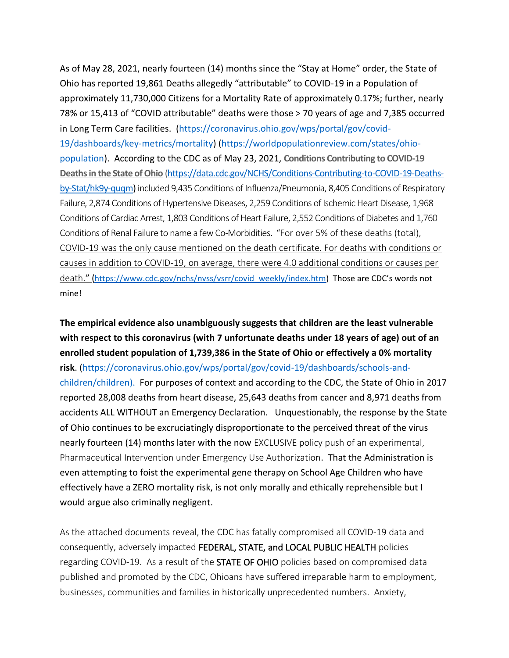As of May 28, 2021, nearly fourteen (14) months since the "Stay at Home" order, the State of Ohio has reported 19,861 Deaths allegedly "attributable" to COVID-19 in a Population of approximately 11,730,000 Citizens for a Mortality Rate of approximately 0.17%; further, nearly 78% or 15,413 of "COVID attributable" deaths were those > 70 years of age and 7,385 occurred in Long Term Care facilities. [\(https://coronavirus.ohio.gov/wps/portal/gov/covid-](https://coronavirus.ohio.gov/wps/portal/gov/covid-19/dashboards/key-metrics/mortality)[19/dashboards/key-metrics/mortality\)](https://coronavirus.ohio.gov/wps/portal/gov/covid-19/dashboards/key-metrics/mortality) [\(https://worldpopulationreview.com/states/ohio](https://worldpopulationreview.com/states/ohio-population)[population\)](https://worldpopulationreview.com/states/ohio-population). According to the CDC as of May 23, 2021, **Conditions Contributing to COVID-19 Deaths in the State of Ohio** [\(https://data.cdc.gov/NCHS/Conditions-Contributing-to-COVID-19-Deaths](https://data.cdc.gov/NCHS/Conditions-Contributing-to-COVID-19-Deaths-by-Stat/hk9y-quqm)[by-Stat/hk9y-quqm\)](https://data.cdc.gov/NCHS/Conditions-Contributing-to-COVID-19-Deaths-by-Stat/hk9y-quqm) included 9,435 Conditions of Influenza/Pneumonia, 8,405 Conditions of Respiratory Failure, 2,874 Conditions of Hypertensive Diseases, 2,259 Conditions of Ischemic Heart Disease, 1,968 Conditions of Cardiac Arrest, 1,803 Conditions of Heart Failure, 2,552 Conditions of Diabetes and 1,760 Conditions of Renal Failure to name a few Co-Morbidities. "For over 5% of these deaths (total), COVID-19 was the only cause mentioned on the death certificate. For deaths with conditions or causes in addition to COVID-19, on average, there were 4.0 additional conditions or causes per death." ([https://www.cdc.gov/nchs/nvss/vsrr/covid\\_weekly/index.htm](https://www.cdc.gov/nchs/nvss/vsrr/covid_weekly/index.htm)) Those are CDC's words not mine!

**The empirical evidence also unambiguously suggests that children are the least vulnerable with respect to this coronavirus (with 7 unfortunate deaths under 18 years of age) out of an enrolled student population of 1,739,386 in the State of Ohio or effectively a 0% mortality risk**. [\(https://coronavirus.ohio.gov/wps/portal/gov/covid-19/dashboards/schools-and](https://coronavirus.ohio.gov/wps/portal/gov/covid-19/dashboards/schools-and-children/children).%20%20For)[children/children\). For](https://coronavirus.ohio.gov/wps/portal/gov/covid-19/dashboards/schools-and-children/children).%20%20For) purposes of context and according to the CDC, the State of Ohio in 2017 reported 28,008 deaths from heart disease, 25,643 deaths from cancer and 8,971 deaths from accidents ALL WITHOUT an Emergency Declaration. Unquestionably, the response by the State of Ohio continues to be excruciatingly disproportionate to the perceived threat of the virus nearly fourteen (14) months later with the now EXCLUSIVE policy push of an experimental, Pharmaceutical Intervention under Emergency Use Authorization. That the Administration is even attempting to foist the experimental gene therapy on School Age Children who have effectively have a ZERO mortality risk, is not only morally and ethically reprehensible but I would argue also criminally negligent.

As the attached documents reveal, the CDC has fatally compromised all COVID-19 data and consequently, adversely impacted FEDERAL, STATE, and LOCAL PUBLIC HEALTH policies regarding COVID-19. As a result of the **STATE OF OHIO** policies based on compromised data published and promoted by the CDC, Ohioans have suffered irreparable harm to employment, businesses, communities and families in historically unprecedented numbers. Anxiety,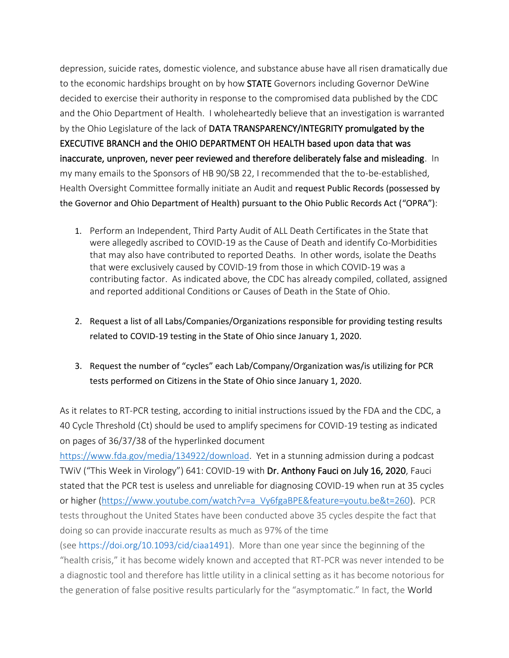depression, suicide rates, domestic violence, and substance abuse have all risen dramatically due to the economic hardships brought on by how STATE Governors including Governor DeWine decided to exercise their authority in response to the compromised data published by the CDC and the Ohio Department of Health. I wholeheartedly believe that an investigation is warranted by the Ohio Legislature of the lack of DATA TRANSPARENCY/INTEGRITY promulgated by the EXECUTIVE BRANCH and the OHIO DEPARTMENT OH HEALTH based upon data that was inaccurate, unproven, never peer reviewed and therefore deliberately false and misleading. In my many emails to the Sponsors of HB 90/SB 22, I recommended that the to-be-established, Health Oversight Committee formally initiate an Audit and request Public Records (possessed by the Governor and Ohio Department of Health) pursuant to the Ohio Public Records Act ("OPRA"):

- 1. Perform an Independent, Third Party Audit of ALL Death Certificates in the State that were allegedly ascribed to COVID-19 as the Cause of Death and identify Co-Morbidities that may also have contributed to reported Deaths. In other words, isolate the Deaths that were exclusively caused by COVID-19 from those in which COVID-19 was a contributing factor. As indicated above, the CDC has already compiled, collated, assigned and reported additional Conditions or Causes of Death in the State of Ohio.
- 2. Request a list of all Labs/Companies/Organizations responsible for providing testing results related to COVID-19 testing in the State of Ohio since January 1, 2020.
- 3. Request the number of "cycles" each Lab/Company/Organization was/is utilizing for PCR tests performed on Citizens in the State of Ohio since January 1, 2020.

As it relates to RT-PCR testing, according to initial instructions issued by the FDA and the CDC, a 40 Cycle Threshold (Ct) should be used to amplify specimens for COVID-19 testing as indicated on pages of 36/37/38 of the hyperlinked document

[https://www.fda.gov/media/134922/download.](https://www.fda.gov/media/134922/download) Yet in a stunning admission during a podcast TWiV ("This Week in Virology") 641: COVID-19 with Dr. Anthony Fauci on July 16, 2020, Fauci stated that the PCR test is useless and unreliable for diagnosing COVID-19 when run at 35 cycles or higher [\(https://www.youtube.com/watch?v=a\\_Vy6fgaBPE&feature=youtu.be&t=260\)](https://www.youtube.com/watch?v=a_Vy6fgaBPE&feature=youtu.be&t=260). PCR tests throughout the United States have been conducted above 35 cycles despite the fact that doing so can provide inaccurate results as much as 97% of the time

(see [https://doi.org/10.1093/cid/ciaa1491\)](https://doi.org/10.1093/cid/ciaa1491). More than one year since the beginning of the "health crisis," it has become widely known and accepted that RT-PCR was never intended to be a diagnostic tool and therefore has little utility in a clinical setting as it has become notorious for the generation of false positive results particularly for the "asymptomatic." In fact, the World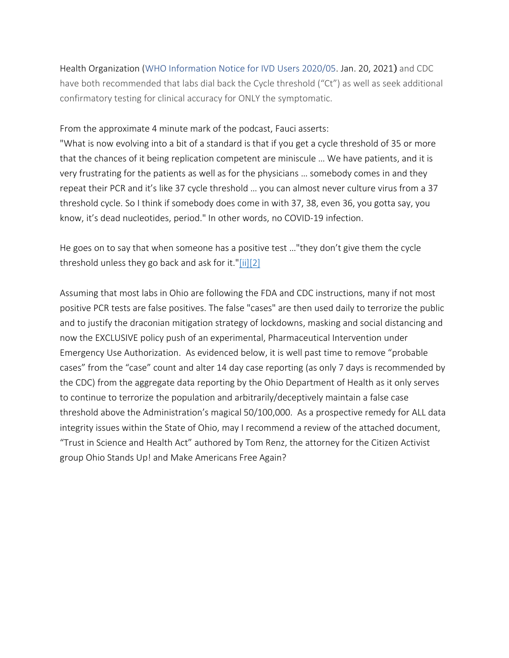Health Organization [\(WHO Information Notice for IVD Users 2020/05.](https://www.who.int/news/item/20-01-2021-who-information-notice-for-ivd-users-2020-05) Jan. 20, 2021) and CDC have both recommended that labs dial back the Cycle threshold ("Ct") as well as seek additional confirmatory testing for clinical accuracy for ONLY the symptomatic.

From the approximate 4 minute mark of the podcast, Fauci asserts:

"What is now evolving into a bit of a standard is that if you get a cycle threshold of 35 or more that the chances of it being replication competent are miniscule … We have patients, and it is very frustrating for the patients as well as for the physicians … somebody comes in and they repeat their PCR and it's like 37 cycle threshold … you can almost never culture virus from a 37 threshold cycle. So I think if somebody does come in with 37, 38, even 36, you gotta say, you know, it's dead nucleotides, period." In other words, no COVID-19 infection.

He goes on to say that when someone has a positive test …"they don't give them the cycle threshold unless they go back and ask for it."[ii][2]

Assuming that most labs in Ohio are following the FDA and CDC instructions, many if not most positive PCR tests are false positives. The false "cases" are then used daily to terrorize the public and to justify the draconian mitigation strategy of lockdowns, masking and social distancing and now the EXCLUSIVE policy push of an experimental, Pharmaceutical Intervention under Emergency Use Authorization. As evidenced below, it is well past time to remove "probable cases" from the "case" count and alter 14 day case reporting (as only 7 days is recommended by the CDC) from the aggregate data reporting by the Ohio Department of Health as it only serves to continue to terrorize the population and arbitrarily/deceptively maintain a false case threshold above the Administration's magical 50/100,000. As a prospective remedy for ALL data integrity issues within the State of Ohio, may I recommend a review of the attached document, "Trust in Science and Health Act" authored by Tom Renz, the attorney for the Citizen Activist group Ohio Stands Up! and Make Americans Free Again?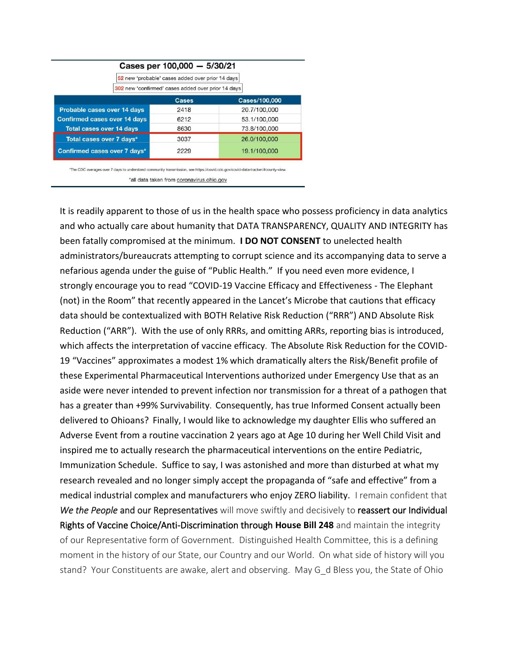|                                                  | Cases per 100,000 - 5/30/21                        |               |
|--------------------------------------------------|----------------------------------------------------|---------------|
| 52 new 'probable' cases added over prior 14 days |                                                    |               |
|                                                  | 302 new 'confirmed' cases added over prior 14 days |               |
|                                                  | <b>Cases</b>                                       | Cases/100,000 |
| Probable cases over 14 days                      | 2418                                               | 20.7/100,000  |
| <b>Confirmed cases over 14 days</b>              | 6212                                               | 53.1/100,000  |
| <b>Total cases over 14 days</b>                  | 8630                                               | 73.8/100,000  |
| Total cases over 7 days*                         | 3037                                               | 26.0/100,000  |
| Confirmed cases over 7 days*                     | 2229                                               | 19.1/100,000  |

\*The CDC averages over 7 days to understand community transmission, see https://covid.cdc.gov/covid-data-tracker/#county-view.

\*all data taken from coronavirus.ohio.gov

It is readily apparent to those of us in the health space who possess proficiency in data analytics and who actually care about humanity that DATA TRANSPARENCY, QUALITY AND INTEGRITY has been fatally compromised at the minimum. **I DO NOT CONSENT** to unelected health administrators/bureaucrats attempting to corrupt science and its accompanying data to serve a nefarious agenda under the guise of "Public Health." If you need even more evidence, I strongly encourage you to read "COVID-19 Vaccine Efficacy and Effectiveness - The Elephant (not) in the Room" that recently appeared in the Lancet's Microbe that cautions that efficacy data should be contextualized with BOTH Relative Risk Reduction ("RRR") AND Absolute Risk Reduction ("ARR"). With the use of only RRRs, and omitting ARRs, reporting bias is introduced, which affects the interpretation of vaccine efficacy. The Absolute Risk Reduction for the COVID-19 "Vaccines" approximates a modest 1% which dramatically alters the Risk/Benefit profile of these Experimental Pharmaceutical Interventions authorized under Emergency Use that as an aside were never intended to prevent infection nor transmission for a threat of a pathogen that has a greater than +99% Survivability. Consequently, has true Informed Consent actually been delivered to Ohioans? Finally, I would like to acknowledge my daughter Ellis who suffered an Adverse Event from a routine vaccination 2 years ago at Age 10 during her Well Child Visit and inspired me to actually research the pharmaceutical interventions on the entire Pediatric, Immunization Schedule. Suffice to say, I was astonished and more than disturbed at what my research revealed and no longer simply accept the propaganda of "safe and effective" from a medical industrial complex and manufacturers who enjoy ZERO liability. I remain confident that *We the People* and our Representatives will move swiftly and decisively to reassert our Individual Rights of Vaccine Choice/Anti-Discrimination through **House Bill 248** and maintain the integrity of our Representative form of Government. Distinguished Health Committee, this is a defining moment in the history of our State, our Country and our World. On what side of history will you stand? Your Constituents are awake, alert and observing. May G\_d Bless you, the State of Ohio